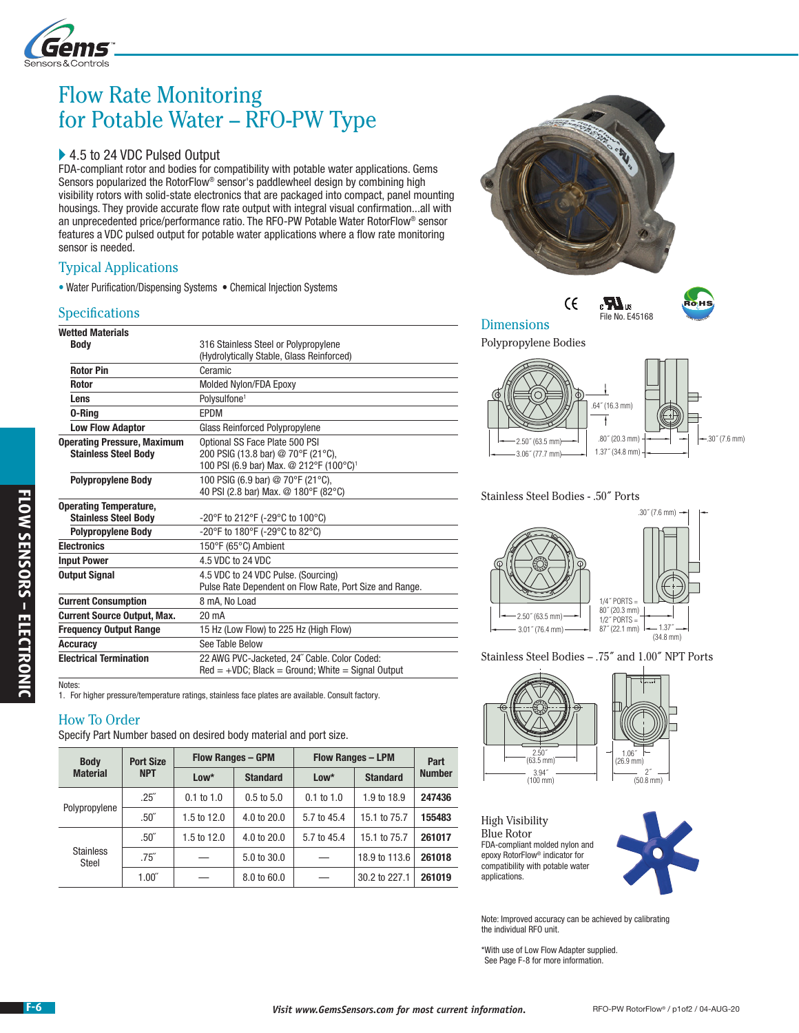

# Flow Rate Monitoring for Potable Water – RFO-PW Type

### ▶ 4.5 to 24 VDC Pulsed Output

FDA-compliant rotor and bodies for compatibility with potable water applications. Gems Sensors popularized the RotorFlow® sensor's paddlewheel design by combining high visibility rotors with solid-state electronics that are packaged into compact, panel mounting housings. They provide accurate flow rate output with integral visual confirmation...all with an unprecedented price/performance ratio. The RFO-PW Potable Water RotorFlow® sensor features a VDC pulsed output for potable water applications where a flow rate monitoring sensor is needed.

### Typical Applications

• Water Purification/Dispensing Systems • Chemical Injection Systems

### **Specifications**

| <b>Wetted Materials</b>            |                                                         |  |  |  |  |
|------------------------------------|---------------------------------------------------------|--|--|--|--|
| Body                               | 316 Stainless Steel or Polypropylene                    |  |  |  |  |
|                                    | (Hydrolytically Stable, Glass Reinforced)               |  |  |  |  |
| <b>Rotor Pin</b>                   | Ceramic                                                 |  |  |  |  |
| <b>Rotor</b>                       | Molded Nylon/FDA Epoxy                                  |  |  |  |  |
| Lens                               | Polysulfone <sup>1</sup>                                |  |  |  |  |
| 0-Ring                             | <b>FPDM</b>                                             |  |  |  |  |
| <b>Low Flow Adaptor</b>            | <b>Glass Reinforced Polypropylene</b>                   |  |  |  |  |
| <b>Operating Pressure, Maximum</b> | Optional SS Face Plate 500 PSI                          |  |  |  |  |
| <b>Stainless Steel Body</b>        | 200 PSIG (13.8 bar) @ 70°F (21°C),                      |  |  |  |  |
|                                    | 100 PSI (6.9 bar) Max. @ 212°F (100°C) <sup>1</sup>     |  |  |  |  |
| <b>Polypropylene Body</b>          | 100 PSIG (6.9 bar) @ 70°F (21°C),                       |  |  |  |  |
|                                    | 40 PSI (2.8 bar) Max. @ 180°F (82°C)                    |  |  |  |  |
| <b>Operating Temperature,</b>      |                                                         |  |  |  |  |
| <b>Stainless Steel Body</b>        | -20°F to 212°F (-29°C to 100°C)                         |  |  |  |  |
| <b>Polypropylene Body</b>          | -20°F to 180°F (-29°C to 82°C)                          |  |  |  |  |
| <b>Electronics</b>                 | 150°F (65°C) Ambient                                    |  |  |  |  |
| <b>Input Power</b>                 | 4.5 VDC to 24 VDC                                       |  |  |  |  |
| <b>Output Signal</b>               | 4.5 VDC to 24 VDC Pulse, (Sourcing)                     |  |  |  |  |
|                                    | Pulse Rate Dependent on Flow Rate, Port Size and Range. |  |  |  |  |
| <b>Current Consumption</b>         | 8 mA, No Load                                           |  |  |  |  |
| <b>Current Source Output, Max.</b> | 20 mA                                                   |  |  |  |  |
| <b>Frequency Output Range</b>      | 15 Hz (Low Flow) to 225 Hz (High Flow)                  |  |  |  |  |
| <b>Accuracy</b>                    | See Table Below                                         |  |  |  |  |
| <b>Electrical Termination</b>      | 22 AWG PVC-Jacketed, 24" Cable. Color Coded:            |  |  |  |  |
|                                    | $Red = +VDC$ ; Black = Ground; White = Signal Output    |  |  |  |  |
| Notes:                             |                                                         |  |  |  |  |

1. For higher pressure/temperature ratings, stainless face plates are available. Consult factory.

### How To Order

Specify Part Number based on desired body material and port size.

| <b>Body</b><br><b>Material</b> | <b>Port Size</b><br><b>NPT</b> | <b>Flow Ranges - GPM</b> |                        | <b>Flow Ranges - LPM</b> |                 | Part          |
|--------------------------------|--------------------------------|--------------------------|------------------------|--------------------------|-----------------|---------------|
|                                |                                | $Low*$                   | <b>Standard</b>        | $Low*$                   | <b>Standard</b> | <b>Number</b> |
| Polypropylene                  | $.25^{''}$                     | $0.1$ to $1.0$           | $0.5$ to $5.0$         | $0.1$ to $1.0$           | 1.9 to 18.9     | 247436        |
|                                | .50 <sup>''</sup>              | 1.5 to $12.0$            | $4.0 \text{ to } 20.0$ | 5.7 to 45.4              | 15.1 to 75.7    | 155483        |
| <b>Stainless</b><br>Steel      | .50 <sup>''</sup>              | 1.5 to 12.0              | 4.0 to 20.0            | 5.7 to 45.4              | 15.1 to 75.7    | 261017        |
|                                | .75''                          |                          | 5.0 to 30.0            |                          | 18.9 to 113.6   | 261018        |
|                                | $1.00^{''}$                    |                          | 8.0 to 60.0            |                          | 30.2 to 227.1   | 261019        |





### Dimensions

Polypropylene Bodies

 $\epsilon$ 



File No. E45168

 $\epsilon$   $\bm{R}_3$ 

#### Stainless Steel Bodies - .50˝ Ports



Stainless Steel Bodies – .75˝ and 1.00˝ NPT Ports



High Visibility Blue Rotor FDA-compliant molded nylon and epoxy RotorFlow® indicator for compatibility with potable water applications.



Note: Improved accuracy can be achieved by calibrating the individual RFO unit.

\*With use of Low Flow Adapter supplied. See Page F-8 for more information.